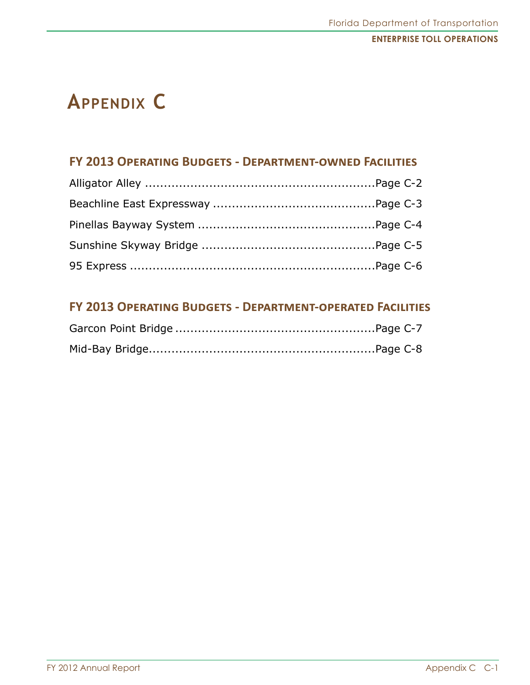# **Appendix C**

# **FY 2013 Operating Budgets - Department-owned Facilities**

# **FY 2013 Operating Budgets - Department-operated Facilities**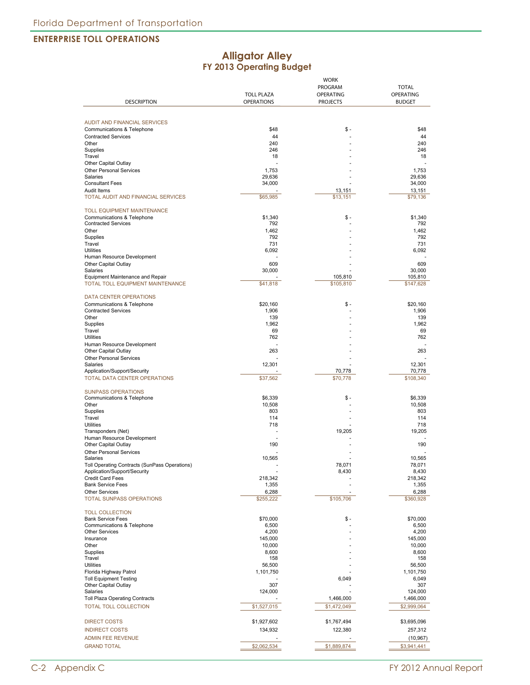#### **Alligator Alley FY 2013 Operating Budget**

|                                                   | <b>WORK</b>       |                    |               |
|---------------------------------------------------|-------------------|--------------------|---------------|
|                                                   |                   | PROGRAM            | <b>TOTAL</b>  |
|                                                   | <b>TOLL PLAZA</b> | OPERATING          | OPERATING     |
| <b>DESCRIPTION</b>                                | <b>OPERATIONS</b> | <b>PROJECTS</b>    | <b>BUDGET</b> |
|                                                   |                   |                    |               |
|                                                   |                   |                    |               |
| <b>AUDIT AND FINANCIAL SERVICES</b>               |                   |                    |               |
| Communications & Telephone                        | \$48              | \$ -               | \$48          |
| <b>Contracted Services</b>                        | 44                |                    | 44            |
| Other                                             | 240               |                    | 240           |
| Supplies                                          | 246               |                    | 246           |
| Travel                                            | 18                |                    | 18            |
| Other Capital Outlay                              |                   |                    |               |
| Other Personal Services                           | 1,753             |                    | 1,753         |
| Salaries                                          | 29,636            |                    | 29,636        |
| <b>Consultant Fees</b>                            | 34,000            |                    | 34,000        |
| Audit Items<br>TOTAL AUDIT AND FINANCIAL SERVICES |                   | 13,151<br>\$13,151 | 13,151        |
|                                                   | \$65,985          |                    | \$79,136      |
| <b>TOLL EQUIPMENT MAINTENANCE</b>                 |                   |                    |               |
| Communications & Telephone                        | \$1,340           | \$ -               | \$1,340       |
| <b>Contracted Services</b>                        | 792               |                    | 792           |
| Other                                             | 1,462             |                    | 1.462         |
| Supplies                                          | 792               |                    | 792           |
| Travel                                            | 731               |                    | 731           |
| <b>Utilities</b>                                  | 6,092             |                    | 6,092         |
| Human Resource Development                        |                   |                    |               |
| Other Capital Outlay                              | 609               |                    | 609           |
| Salaries                                          | 30,000            |                    | 30,000        |
| <b>Equipment Maintenance and Repair</b>           |                   | 105,810            | 105,810       |
| TOTAL TOLL EQUIPMENT MAINTENANCE                  | \$41,818          | \$105,810          | \$147,628     |
|                                                   |                   |                    |               |
| <b>DATA CENTER OPERATIONS</b>                     |                   |                    |               |
| Communications & Telephone                        | \$20.160          | \$ -               | \$20,160      |
| <b>Contracted Services</b>                        | 1,906             |                    | 1,906         |
| Other                                             | 139               |                    | 139           |
| Supplies                                          | 1,962             |                    | 1,962         |
| Travel                                            | 69                |                    | 69            |
| <b>Utilities</b>                                  | 762               |                    | 762           |
| Human Resource Development                        |                   |                    |               |
| Other Capital Outlay                              | 263               |                    | 263           |
| Other Personal Services                           |                   |                    |               |
| Salaries                                          | 12,301            |                    | 12,301        |
| Application/Support/Security                      |                   | 70,778             | 70,778        |
| TOTAL DATA CENTER OPERATIONS                      | \$37,562          | \$70,778           | \$108,340     |
|                                                   |                   |                    |               |
| <b>SUNPASS OPERATIONS</b>                         |                   |                    |               |
| Communications & Telephone                        | \$6,339           | \$ -               | \$6,339       |
| Other                                             | 10,508            |                    | 10,508        |
| Supplies                                          | 803               |                    | 803           |
| Travel                                            | 114               |                    | 114           |
| <b>Utilities</b>                                  | 718               |                    | 718           |
| Transponders (Net)                                |                   | 19,205             | 19,205        |
| Human Resource Development                        |                   |                    |               |
| Other Capital Outlay                              | 190               |                    | 190           |
| <b>Other Personal Services</b>                    |                   |                    |               |
| Salaries                                          | 10,565            |                    | 10.565        |
| Toll Operating Contracts (SunPass Operations)     |                   | 78,071             | 78,071        |
| Application/Support/Security                      |                   | 8,430              | 8,430         |
| <b>Credit Card Fees</b>                           | 218,342           |                    | 218,342       |
| <b>Bank Service Fees</b>                          | 1,355             |                    | 1,355         |
| <b>Other Services</b>                             | 6,288             |                    | 6,288         |
| <b>TOTAL SUNPASS OPERATIONS</b>                   | \$255,222         | \$105,706          | \$360,928     |
|                                                   |                   |                    |               |
| <b>TOLL COLLECTION</b>                            |                   |                    |               |
| <b>Bank Service Fees</b>                          | \$70,000          | \$ -               | \$70,000      |
| Communications & Telephone                        | 6,500             |                    | 6,500         |
| <b>Other Services</b>                             | 4,200             |                    | 4,200         |
| Insurance                                         | 145,000           |                    | 145,000       |
| Other                                             | 10,000            |                    | 10,000        |
| Supplies                                          | 8,600             |                    | 8,600         |
| Travel                                            | 158               |                    | 158           |
| <b>Utilities</b>                                  | 56,500            |                    | 56,500        |
| Florida Highway Patrol                            | 1,101,750         |                    | 1,101,750     |
| <b>Toll Equipment Testing</b>                     |                   | 6,049              | 6,049         |
| Other Capital Outlay                              | 307               |                    | 307           |
| Salaries                                          | 124,000           |                    | 124,000       |
| <b>Toll Plaza Operating Contracts</b>             |                   | 1,466,000          | 1,466,000     |
| <b>TOTAL TOLL COLLECTION</b>                      | \$1,527,015       | \$1,472,049        | \$2,999,064   |
|                                                   |                   |                    |               |
| <b>DIRECT COSTS</b>                               | \$1,927,602       | \$1,767,494        | \$3,695,096   |
| <b>INDIRECT COSTS</b>                             | 134,932           | 122,380            | 257,312       |
|                                                   |                   |                    |               |
| <b>ADMIN FEE REVENUE</b>                          |                   |                    | (10, 967)     |
| <b>GRAND TOTAL</b>                                | \$2,062,534       | \$1,889,874        | \$3,941,441   |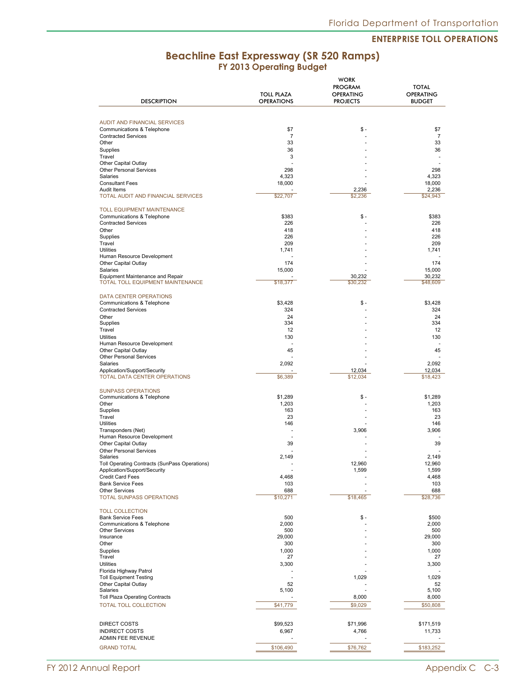## **Beachline East Expressway (SR 520 Ramps) FY 2013 Operating Budget**

|                                                                             | <b>TOLL PLAZA</b> | <b>WORK</b><br><b>PROGRAM</b><br><b>OPERATING</b> | <b>TOTAL</b><br><b>OPERATING</b> |
|-----------------------------------------------------------------------------|-------------------|---------------------------------------------------|----------------------------------|
| <b>DESCRIPTION</b>                                                          | <b>OPERATIONS</b> | <b>PROJECTS</b>                                   | <b>BUDGET</b>                    |
|                                                                             |                   |                                                   |                                  |
| <b>AUDIT AND FINANCIAL SERVICES</b>                                         |                   |                                                   |                                  |
| Communications & Telephone                                                  | \$7               | \$ -                                              | \$7                              |
| <b>Contracted Services</b>                                                  | $\overline{7}$    |                                                   | 7                                |
| Other<br>Supplies                                                           | 33<br>36          |                                                   | 33<br>36                         |
| Travel                                                                      | 3                 |                                                   |                                  |
| Other Capital Outlay                                                        |                   |                                                   |                                  |
| Other Personal Services<br>Salaries                                         | 298               |                                                   | 298                              |
| <b>Consultant Fees</b>                                                      | 4,323<br>18,000   |                                                   | 4,323<br>18,000                  |
| Audit Items                                                                 |                   | 2,236                                             | 2,236                            |
| TOTAL AUDIT AND FINANCIAL SERVICES                                          | \$22,707          | \$2,236                                           | \$24,943                         |
| <b>TOLL EQUIPMENT MAINTENANCE</b>                                           |                   |                                                   |                                  |
| Communications & Telephone                                                  | \$383             | \$ -                                              | \$383                            |
| <b>Contracted Services</b>                                                  | 226               |                                                   | 226                              |
| Other                                                                       | 418               |                                                   | 418                              |
| Supplies<br>Travel                                                          | 226<br>209        |                                                   | 226<br>209                       |
| <b>Utilities</b>                                                            | 1,741             |                                                   | 1,741                            |
| Human Resource Development                                                  |                   |                                                   |                                  |
| Other Capital Outlay                                                        | 174               |                                                   | 174                              |
| Salaries                                                                    | 15.000            |                                                   | 15,000                           |
| <b>Equipment Maintenance and Repair</b><br>TOTAL TOLL EQUIPMENT MAINTENANCE | \$18,377          | 30,232<br>\$30,232                                | 30,232<br>\$48,609               |
|                                                                             |                   |                                                   |                                  |
| <b>DATA CENTER OPERATIONS</b>                                               |                   |                                                   |                                  |
| Communications & Telephone                                                  | \$3,428           | \$ -                                              | \$3.428                          |
| <b>Contracted Services</b>                                                  | 324<br>24         |                                                   | 324<br>24                        |
| Other<br>Supplies                                                           | 334               |                                                   | 334                              |
| Travel                                                                      | 12                |                                                   | 12                               |
| <b>Utilities</b>                                                            | 130               |                                                   | 130                              |
| Human Resource Development                                                  | ÷,                |                                                   |                                  |
| Other Capital Outlay<br>Other Personal Services                             | 45                |                                                   | 45                               |
| Salaries                                                                    | 2,092             |                                                   | 2,092                            |
| Application/Support/Security                                                |                   | 12,034                                            | 12,034                           |
| TOTAL DATA CENTER OPERATIONS                                                | \$6,389           | \$12,034                                          | \$18,423                         |
|                                                                             |                   |                                                   |                                  |
| <b>SUNPASS OPERATIONS</b><br>Communications & Telephone                     | \$1,289           | \$ -                                              | \$1,289                          |
| Other                                                                       | 1,203             |                                                   | 1,203                            |
| Supplies                                                                    | 163               |                                                   | 163                              |
| Travel                                                                      | 23                |                                                   | 23                               |
| <b>Utilities</b><br>Transponders (Net)                                      | 146               | 3,906                                             | 146<br>3,906                     |
| Human Resource Development                                                  |                   |                                                   |                                  |
| Other Capital Outlay                                                        | 39                |                                                   | 39                               |
| <b>Other Personal Services</b>                                              |                   |                                                   |                                  |
| Salaries<br>Toll Operating Contracts (SunPass Operations)                   | 2.149<br>٠        | 12,960                                            | 2.149<br>12,960                  |
| Application/Support/Security                                                |                   | 1,599                                             | 1,599                            |
| Credit Card Fees                                                            | 4,468             |                                                   | 4,468                            |
| <b>Bank Service Fees</b>                                                    | 103               |                                                   | 103                              |
| <b>Other Services</b>                                                       | 688               |                                                   | 688                              |
| <b>TOTAL SUNPASS OPERATIONS</b>                                             | \$10,271          | \$18,465                                          | \$28,736                         |
| <b>TOLL COLLECTION</b>                                                      |                   |                                                   |                                  |
| <b>Bank Service Fees</b>                                                    | 500               | \$ -                                              | \$500                            |
| Communications & Telephone                                                  | 2,000             |                                                   | 2,000                            |
| <b>Other Services</b><br>Insurance                                          | 500<br>29,000     |                                                   | 500<br>29,000                    |
| Other                                                                       | 300               |                                                   | 300                              |
| <b>Supplies</b>                                                             | 1,000             |                                                   | 1,000                            |
| Travel                                                                      | 27                |                                                   | 27                               |
| <b>Utilities</b>                                                            | 3,300             |                                                   | 3,300                            |
| Florida Highway Patrol<br><b>Toll Equipment Testing</b>                     | ÷,                | 1,029                                             | 1,029                            |
| Other Capital Outlay                                                        | 52                |                                                   | 52                               |
| Salaries                                                                    | 5,100             |                                                   | 5,100                            |
| <b>Toll Plaza Operating Contracts</b>                                       |                   | 8,000                                             | 8,000                            |
| TOTAL TOLL COLLECTION                                                       | \$41,779          | \$9,029                                           | \$50,808                         |
|                                                                             |                   |                                                   |                                  |
| DIRECT COSTS                                                                | \$99,523          | \$71,996                                          | \$171,519                        |
| <b>INDIRECT COSTS</b>                                                       | 6,967             | 4,766                                             | 11,733                           |
| ADMIN FEE REVENUE                                                           |                   |                                                   |                                  |
| <b>GRAND TOTAL</b>                                                          | \$106,490         | \$76,762                                          | \$183,252                        |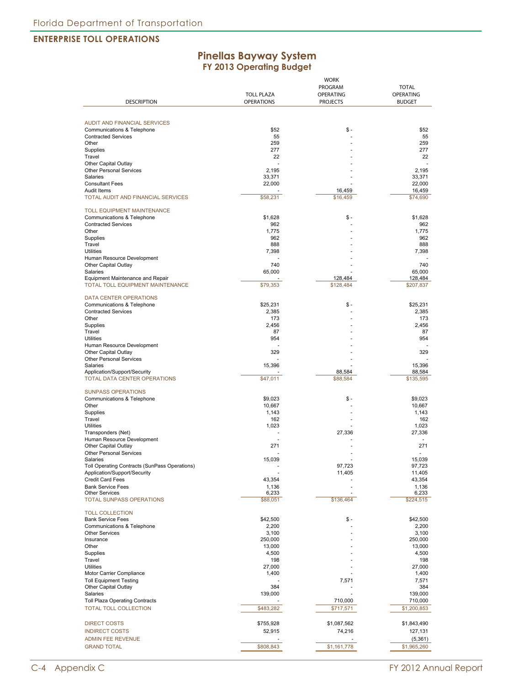#### **Pinellas Bayway System FY 2013 Operating Budget**

|                                                        | <b>TOLL PLAZA</b> | <b>WORK</b><br>PROGRAM<br>OPERATING | <b>TOTAL</b><br><b>OPERATING</b> |
|--------------------------------------------------------|-------------------|-------------------------------------|----------------------------------|
| <b>DESCRIPTION</b>                                     | <b>OPERATIONS</b> | <b>PROJECTS</b>                     | <b>BUDGET</b>                    |
|                                                        |                   |                                     |                                  |
| <b>AUDIT AND FINANCIAL SERVICES</b>                    |                   |                                     |                                  |
| Communications & Telephone                             | \$52              | \$ -                                | \$52                             |
| <b>Contracted Services</b>                             | 55                |                                     | 55                               |
| Other                                                  | 259<br>277        |                                     | 259                              |
| Supplies<br>Travel                                     | 22                |                                     | 277<br>22                        |
| Other Capital Outlay                                   |                   |                                     |                                  |
| <b>Other Personal Services</b>                         | 2,195             |                                     | 2,195                            |
| Salaries                                               | 33,371            |                                     | 33,371                           |
| <b>Consultant Fees</b>                                 | 22,000            |                                     | 22,000                           |
| Audit Items                                            |                   | 16,459                              | 16,459                           |
| TOTAL AUDIT AND FINANCIAL SERVICES                     | \$58,231          | \$16,459                            | \$74,690                         |
| TOLL EQUIPMENT MAINTENANCE                             |                   |                                     |                                  |
| Communications & Telephone                             | \$1,628           | \$ -                                | \$1,628                          |
| <b>Contracted Services</b>                             | 962               |                                     | 962                              |
| Other<br>Supplies                                      | 1,775<br>962      |                                     | 1,775<br>962                     |
| Travel                                                 | 888               |                                     | 888                              |
| Utilities                                              | 7,398             |                                     | 7,398                            |
| Human Resource Development                             |                   |                                     |                                  |
| Other Capital Outlay                                   | 740               |                                     | 740                              |
| Salaries                                               | 65,000            |                                     | 65,000                           |
| Equipment Maintenance and Repair                       |                   | 128,484                             | 128,484                          |
| TOTAL TOLL EQUIPMENT MAINTENANCE                       | \$79,353          | \$128,484                           | \$207,837                        |
| <b>DATA CENTER OPERATIONS</b>                          |                   |                                     |                                  |
| Communications & Telephone                             | \$25,231          | \$ -                                | \$25,231                         |
| <b>Contracted Services</b>                             | 2,385             |                                     | 2,385                            |
| Other                                                  | 173               |                                     | 173                              |
| Supplies<br>Travel                                     | 2,456             |                                     | 2,456                            |
| <b>Utilities</b>                                       | 87<br>954         |                                     | 87<br>954                        |
| Human Resource Development                             |                   |                                     |                                  |
| Other Capital Outlay                                   | 329               |                                     | 329                              |
| <b>Other Personal Services</b>                         |                   |                                     |                                  |
| Salaries                                               | 15,396            |                                     | 15,396                           |
| Application/Support/Security                           |                   | 88,584                              | 88,584                           |
| TOTAL DATA CENTER OPERATIONS                           | \$47,011          | \$88,584                            | \$135,595                        |
| <b>SUNPASS OPERATIONS</b>                              |                   |                                     |                                  |
| Communications & Telephone                             | \$9,023           | \$ -                                | \$9,023                          |
| Other                                                  | 10,667            |                                     | 10,667                           |
| Supplies                                               | 1,143             |                                     | 1,143                            |
| Travel                                                 | 162               |                                     | 162                              |
| <b>Utilities</b><br>Transponders (Net)                 | 1,023             | 27,336                              | 1,023<br>27,336                  |
| Human Resource Development                             |                   |                                     |                                  |
| Other Capital Outlay                                   | 271               |                                     | 271                              |
| <b>Other Personal Services</b>                         |                   |                                     |                                  |
| Salaries                                               | 15,039            |                                     | 15,039                           |
| Toll Operating Contracts (SunPass Operations)          |                   | 97,723                              | 97,723                           |
| Application/Support/Security                           |                   | 11,405                              | 11,405                           |
| <b>Credit Card Fees</b>                                | 43,354            |                                     | 43,354                           |
| <b>Bank Service Fees</b><br><b>Other Services</b>      | 1,136<br>6,233    |                                     | 1,136<br>6,233                   |
| <b>TOTAL SUNPASS OPERATIONS</b>                        | \$88,051          | \$136,464                           | \$224,515                        |
|                                                        |                   |                                     |                                  |
| <b>TOLL COLLECTION</b>                                 |                   | \$ -                                | \$42,500                         |
| <b>Bank Service Fees</b><br>Communications & Telephone | \$42,500<br>2,200 |                                     | 2,200                            |
| <b>Other Services</b>                                  | 3,100             |                                     | 3,100                            |
| Insurance                                              | 250,000           |                                     | 250,000                          |
| Other                                                  | 13,000            |                                     | 13,000                           |
| Supplies                                               | 4,500             |                                     | 4,500                            |
| Travel                                                 | 198               |                                     | 198                              |
| <b>Utilities</b>                                       | 27,000            |                                     | 27,000                           |
| Motor Carrier Compliance                               | 1,400             |                                     | 1,400                            |
| <b>Toll Equipment Testing</b><br>Other Capital Outlay  | 384               | 7,571                               | 7,571<br>384                     |
| Salaries                                               | 139,000           |                                     | 139,000                          |
| Toll Plaza Operating Contracts                         |                   | 710,000                             | 710,000                          |
| <b>TOTAL TOLL COLLECTION</b>                           | \$483,282         | \$717,571                           | \$1,200,853                      |
|                                                        |                   |                                     |                                  |
| <b>DIRECT COSTS</b>                                    | \$755,928         | \$1,087,562                         | \$1,843,490                      |
| <b>INDIRECT COSTS</b>                                  | 52,915            | 74,216                              | 127,131                          |
| <b>ADMIN FEE REVENUE</b>                               |                   |                                     | (5, 361)                         |
| <b>GRAND TOTAL</b>                                     | \$808,843         | \$1,161,778                         | \$1,965,260                      |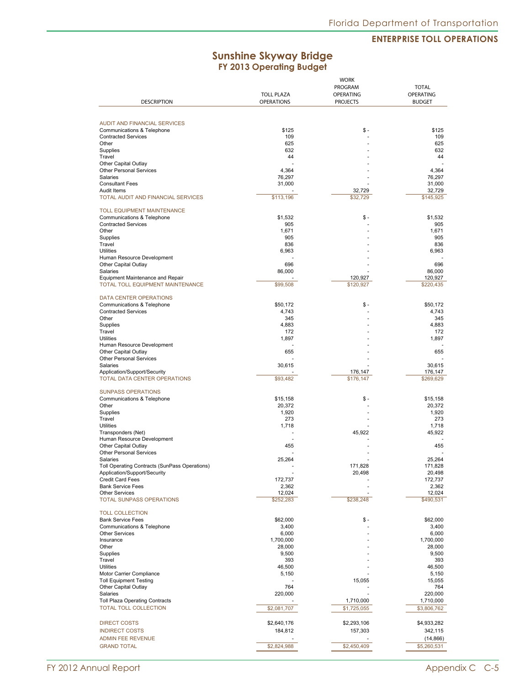## **Sunshine Skyway Bridge FY 2013 Operating Budget**

|                                                    |                                        | <b>WORK</b><br>PROGRAM<br><b>OPERATING</b> | <b>TOTAL</b><br><b>OPERATING</b> |
|----------------------------------------------------|----------------------------------------|--------------------------------------------|----------------------------------|
| <b>DESCRIPTION</b>                                 | <b>TOLL PLAZA</b><br><b>OPERATIONS</b> | <b>PROJECTS</b>                            | <b>BUDGET</b>                    |
|                                                    |                                        |                                            |                                  |
| AUDIT AND FINANCIAL SERVICES                       |                                        |                                            |                                  |
| Communications & Telephone                         | \$125                                  | \$-                                        | \$125                            |
| <b>Contracted Services</b>                         | 109                                    |                                            | 109                              |
| Other                                              | 625                                    |                                            | 625                              |
| Supplies                                           | 632                                    |                                            | 632                              |
| Travel<br>Other Capital Outlay                     | 44                                     |                                            | 44                               |
| Other Personal Services                            | 4,364                                  |                                            | 4,364                            |
| Salaries                                           | 76,297                                 |                                            | 76,297                           |
| <b>Consultant Fees</b>                             | 31,000                                 |                                            | 31,000                           |
| Audit Items                                        |                                        | 32,729                                     | 32,729                           |
| <b>TOTAL AUDIT AND FINANCIAL SERVICES</b>          | \$113,196                              | \$32,729                                   | \$145,925                        |
| TOLL EQUIPMENT MAINTENANCE                         |                                        |                                            |                                  |
| Communications & Telephone                         | \$1,532                                | \$ -                                       | \$1,532                          |
| <b>Contracted Services</b>                         | 905                                    |                                            | 905                              |
| Other                                              | 1,671                                  |                                            | 1,671                            |
| Supplies<br>Travel                                 | 905<br>836                             |                                            | 905<br>836                       |
| <b>Utilities</b>                                   | 6,963                                  |                                            | 6,963                            |
| Human Resource Development                         |                                        |                                            |                                  |
| Other Capital Outlay                               | 696                                    |                                            | 696                              |
| Salaries                                           | 86,000                                 |                                            | 86,000                           |
| Equipment Maintenance and Repair                   |                                        | 120,927                                    | 120,927                          |
| TOTAL TOLL EQUIPMENT MAINTENANCE                   | \$99,508                               | \$120,927                                  | \$220,435                        |
| DATA CENTER OPERATIONS                             |                                        |                                            |                                  |
| Communications & Telephone                         | \$50,172                               | \$-                                        | \$50,172                         |
| <b>Contracted Services</b>                         | 4,743                                  |                                            | 4,743                            |
| Other                                              | 345                                    |                                            | 345                              |
| Supplies                                           | 4,883                                  |                                            | 4,883                            |
| Travel<br><b>Utilities</b>                         | 172<br>1,897                           |                                            | 172<br>1,897                     |
| Human Resource Development                         |                                        |                                            |                                  |
| Other Capital Outlay                               | 655                                    |                                            | 655                              |
| Other Personal Services                            |                                        |                                            |                                  |
| Salaries                                           | 30,615                                 |                                            | 30,615                           |
| Application/Support/Security                       |                                        | 176,147                                    | 176,147                          |
| TOTAL DATA CENTER OPERATIONS                       | \$93,482                               | \$176,147                                  | \$269,629                        |
| <b>SUNPASS OPERATIONS</b>                          |                                        |                                            |                                  |
| Communications & Telephone                         | \$15,158                               | \$ -                                       | \$15,158                         |
| Other                                              | 20,372                                 |                                            | 20,372                           |
| Supplies                                           | 1,920                                  |                                            | 1,920                            |
| Travel                                             | 273                                    |                                            | 273                              |
| <b>Utilities</b><br>Transponders (Net)             | 1,718                                  | 45,922                                     | 1,718<br>45,922                  |
| Human Resource Development                         |                                        |                                            |                                  |
| Other Capital Outlay                               | 455                                    |                                            | 455                              |
| <b>Other Personal Services</b>                     |                                        |                                            |                                  |
| Salaries                                           | 25,264                                 |                                            | 25.264                           |
| Toll Operating Contracts (SunPass Operations)      |                                        | 171,828                                    | 171,828                          |
| Application/Support/Security<br>Credit Card Fees   | 172,737                                | 20,498                                     | 20,498<br>172,737                |
| <b>Bank Service Fees</b>                           | 2,362                                  |                                            | 2,362                            |
| <b>Other Services</b>                              | 12,024                                 |                                            | 12,024                           |
| <b>TOTAL SUNPASS OPERATIONS</b>                    | \$252,283                              | \$238,248                                  | \$490,531                        |
|                                                    |                                        |                                            |                                  |
| <b>TOLL COLLECTION</b><br><b>Bank Service Fees</b> | \$62,000                               | \$ -                                       | \$62,000                         |
| Communications & Telephone                         | 3,400                                  |                                            | 3,400                            |
| <b>Other Services</b>                              | 6,000                                  |                                            | 6,000                            |
| Insurance                                          | 1,700,000                              |                                            | 1,700,000                        |
| Other                                              | 28,000                                 |                                            | 28,000                           |
| Supplies                                           | 9,500                                  |                                            | 9,500                            |
| Travel                                             | 393                                    |                                            | 393                              |
| <b>Utilities</b><br>Motor Carrier Compliance       | 46,500<br>5,150                        |                                            | 46,500<br>5,150                  |
| <b>Toll Equipment Testing</b>                      |                                        | 15,055                                     | 15,055                           |
| Other Capital Outlay                               | 764                                    |                                            | 764                              |
| Salaries                                           | 220,000                                |                                            | 220,000                          |
| <b>Toll Plaza Operating Contracts</b>              |                                        | 1,710,000                                  | 1,710,000                        |
| TOTAL TOLL COLLECTION                              | \$2,081,707                            | \$1,725,055                                | \$3,806,762                      |
|                                                    |                                        |                                            |                                  |
| <b>DIRECT COSTS</b>                                | \$2,640,176                            | \$2,293,106                                | \$4,933,282                      |
| <b>INDIRECT COSTS</b>                              | 184,812                                | 157,303                                    | 342,115                          |
| <b>ADMIN FEE REVENUE</b>                           |                                        |                                            | (14, 866)                        |
| <b>GRAND TOTAL</b>                                 | \$2,824,988                            | \$2,450,409                                | \$5,260,531                      |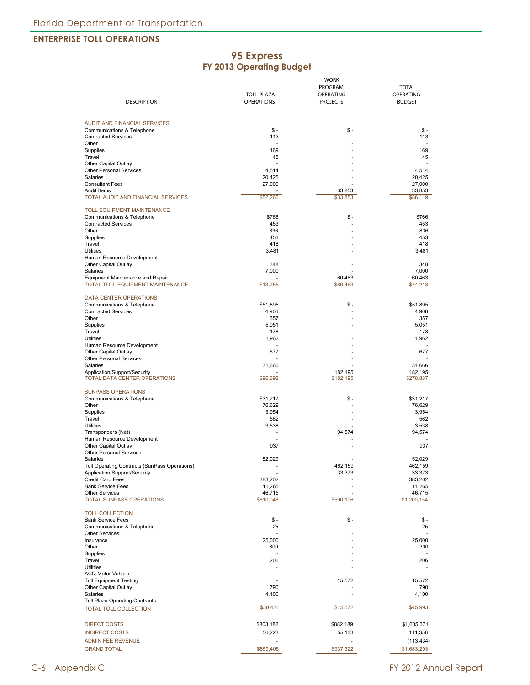#### **95 Express FY 2013 Operating Budget**

|                                                                      | <b>WORK</b>       |                    |                    |
|----------------------------------------------------------------------|-------------------|--------------------|--------------------|
|                                                                      |                   | PROGRAM            | <b>TOTAL</b>       |
|                                                                      | <b>TOLL PLAZA</b> | <b>OPERATING</b>   | <b>OPERATING</b>   |
| <b>DESCRIPTION</b>                                                   | <b>OPERATIONS</b> | <b>PROJECTS</b>    | <b>BUDGET</b>      |
|                                                                      |                   |                    |                    |
| <b>AUDIT AND FINANCIAL SERVICES</b>                                  |                   |                    |                    |
| Communications & Telephone                                           | $S -$             | $S -$              | \$ -               |
| <b>Contracted Services</b>                                           | 113               |                    | 113                |
| Other                                                                |                   |                    |                    |
| Supplies                                                             | 169               |                    | 169                |
| Travel                                                               | 45                |                    | 45                 |
| Other Capital Outlay                                                 |                   |                    |                    |
| Other Personal Services<br>Salaries                                  | 4,514             |                    | 4,514              |
| <b>Consultant Fees</b>                                               | 20,425<br>27,000  |                    | 20,425             |
| Audit Items                                                          |                   | 33.853             | 27,000<br>33,853   |
| TOTAL AUDIT AND FINANCIAL SERVICES                                   | \$52,266          | \$33,853           | \$86,119           |
|                                                                      |                   |                    |                    |
| <b>TOLL EQUIPMENT MAINTENANCE</b>                                    |                   |                    |                    |
| Communications & Telephone                                           | \$766             | $S -$              | \$766              |
| <b>Contracted Services</b>                                           | 453               |                    | 453                |
| Other                                                                | 836               |                    | 836                |
| Supplies                                                             | 453               |                    | 453                |
| Travel                                                               | 418               |                    | 418                |
| <b>Utilities</b>                                                     | 3,481             |                    | 3,481              |
| Human Resource Development                                           |                   |                    |                    |
| Other Capital Outlay                                                 | 348               |                    | 348                |
| Salaries                                                             | 7,000             |                    | 7,000              |
| Equipment Maintenance and Repair<br>TOTAL TOLL EQUIPMENT MAINTENANCE | \$13,755          | 60,463<br>\$60,463 | 60,463<br>\$74,218 |
|                                                                      |                   |                    |                    |
| DATA CENTER OPERATIONS                                               |                   |                    |                    |
| Communications & Telephone                                           | \$51,895          | $$ -$              | \$51.895           |
| <b>Contracted Services</b>                                           | 4,906             |                    | 4,906              |
| Other                                                                | 357               |                    | 357                |
| Supplies                                                             | 5,051             |                    | 5,051              |
| Travel                                                               | 178               |                    | 178                |
| <b>Utilities</b>                                                     | 1,962             |                    | 1,962              |
| Human Resource Development                                           |                   |                    |                    |
| Other Capital Outlay                                                 | 677               |                    | 677                |
| Other Personal Services                                              |                   |                    |                    |
| Salaries                                                             | 31,666            |                    | 31,666             |
| Application/Support/Security                                         |                   | 182,195            | 182,195            |
| TOTAL DATA CENTER OPERATIONS                                         | \$96,692          | \$182,195          | \$278,887          |
|                                                                      |                   |                    |                    |
| <b>SUNPASS OPERATIONS</b>                                            |                   |                    |                    |
| Communications & Telephone                                           | \$31,217          | $S -$              | \$31,217           |
| Other                                                                | 76,629            |                    | 76,629             |
| Supplies<br>Travel                                                   | 3,954<br>562      |                    | 3,954<br>562       |
| <b>Utilities</b>                                                     | 3,538             |                    | 3,538              |
| Transponders (Net)                                                   |                   | 94,574             | 94,574             |
| Human Resource Development                                           |                   |                    |                    |
| Other Capital Outlay                                                 | 937               |                    | 937                |
| <b>Other Personal Services</b>                                       |                   |                    |                    |
| Salaries                                                             | 52.029            |                    | 52.029             |
| Toll Operating Contracts (SunPass Operations)                        |                   | 462,159            | 462,159            |
| Application/Support/Security                                         |                   | 33,373             | 33,373             |
| <b>Credit Card Fees</b>                                              | 383,202           |                    | 383,202            |
| <b>Bank Service Fees</b>                                             | 11,265            |                    | 11,265             |
| <b>Other Services</b>                                                | 46,715            |                    | 46,715             |
| <b>TOTAL SUNPASS OPERATIONS</b>                                      | \$610,048         | \$590,106          | \$1,200,154        |
|                                                                      |                   |                    |                    |
| <b>TOLL COLLECTION</b>                                               |                   |                    |                    |
| <b>Bank Service Fees</b>                                             | \$ -              | $$ -$              | $S -$              |
| Communications & Telephone                                           | 25                |                    | 25                 |
| <b>Other Services</b>                                                |                   |                    |                    |
| Insurance<br>Other                                                   | 25,000<br>300     |                    | 25,000             |
| Supplies                                                             |                   |                    | 300                |
| Travel                                                               | 206               |                    | 206                |
| <b>Utilities</b>                                                     |                   |                    |                    |
| <b>ACQ Motor Vehicle</b>                                             |                   |                    |                    |
| <b>Toll Equipment Testing</b>                                        |                   | 15,572             | 15,572             |
| Other Capital Outlay                                                 | 790               |                    | 790                |
| Salaries                                                             | 4,100             |                    | 4,100              |
| Toll Plaza Operating Contracts                                       |                   |                    |                    |
| TOTAL TOLL COLLECTION                                                | \$30,421          | \$15,572           | \$45,993           |
|                                                                      |                   |                    |                    |
| <b>DIRECT COSTS</b>                                                  | \$803,182         | \$882,189          | \$1,685,371        |
|                                                                      |                   |                    |                    |
| <b>INDIRECT COSTS</b>                                                | 56,223            | 55,133             | 111,356            |
| <b>ADMIN FEE REVENUE</b>                                             |                   |                    | (113, 434)         |
| <b>GRAND TOTAL</b>                                                   | \$859,405         | \$937,322          | \$1,683,293        |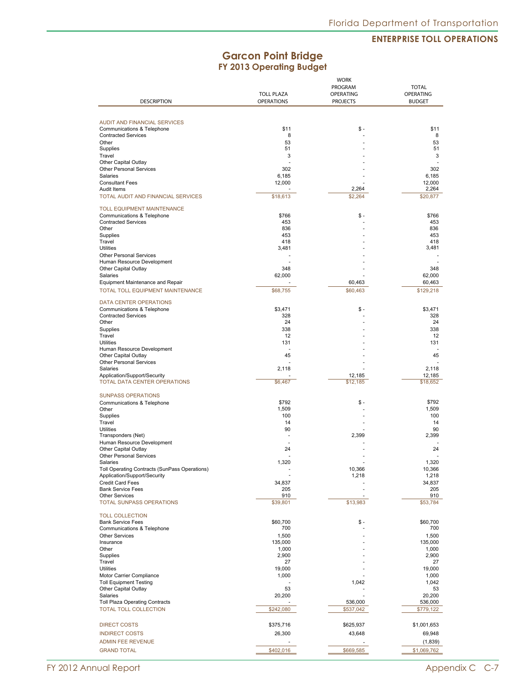## **Garcon Point Bridge FY 2013 Operating Budget**

|                                                                   | <b>WORK</b>       |                 |                  |
|-------------------------------------------------------------------|-------------------|-----------------|------------------|
|                                                                   |                   | PROGRAM         | <b>TOTAL</b>     |
|                                                                   | <b>TOLL PLAZA</b> | OPERATING       | <b>OPERATING</b> |
| <b>DESCRIPTION</b>                                                | <b>OPERATIONS</b> | <b>PROJECTS</b> | <b>BUDGET</b>    |
|                                                                   |                   |                 |                  |
| <b>AUDIT AND FINANCIAL SERVICES</b><br>Communications & Telephone | \$11              | \$ -            | \$11             |
| <b>Contracted Services</b>                                        | 8                 |                 | 8                |
| Other                                                             | 53                |                 | 53               |
| Supplies                                                          | 51                |                 | 51               |
| Travel                                                            | 3                 |                 | 3                |
| Other Capital Outlay                                              |                   |                 |                  |
| <b>Other Personal Services</b>                                    | 302               |                 | 302              |
| Salaries                                                          | 6.185             |                 | 6,185            |
| <b>Consultant Fees</b>                                            | 12,000            |                 | 12,000           |
| Audit Items                                                       |                   | 2,264           | 2,264            |
| <b>TOTAL AUDIT AND FINANCIAL SERVICES</b>                         | \$18,613          | \$2,264         | \$20,877         |
| <b>TOLL EQUIPMENT MAINTENANCE</b>                                 |                   |                 |                  |
| Communications & Telephone                                        | \$766             | \$ -            | \$766            |
| <b>Contracted Services</b>                                        | 453               |                 | 453              |
| Other                                                             | 836               |                 | 836              |
| Supplies                                                          | 453               |                 | 453              |
| Travel                                                            | 418               |                 | 418              |
| <b>Utilities</b>                                                  | 3,481             |                 | 3,481            |
| <b>Other Personal Services</b>                                    |                   |                 |                  |
| Human Resource Development                                        |                   |                 |                  |
| Other Capital Outlay                                              | 348               |                 | 348              |
| Salaries                                                          | 62,000            |                 | 62,000           |
| Equipment Maintenance and Repair                                  |                   | 60,463          | 60,463           |
|                                                                   |                   |                 |                  |
| TOTAL TOLL EQUIPMENT MAINTENANCE                                  | \$68,755          | \$60,463        | \$129,218        |
| <b>DATA CENTER OPERATIONS</b>                                     |                   |                 |                  |
| Communications & Telephone                                        | \$3,471           | \$ -            | \$3,471          |
| <b>Contracted Services</b>                                        | 328               |                 | 328              |
| Other                                                             | 24                |                 | 24               |
| Supplies                                                          | 338               |                 | 338              |
| Travel                                                            | 12                |                 | 12               |
| <b>Utilities</b>                                                  | 131               |                 | 131              |
| Human Resource Development                                        |                   |                 |                  |
| Other Capital Outlay                                              | 45                |                 | 45               |
| <b>Other Personal Services</b>                                    |                   |                 |                  |
| Salaries                                                          | 2,118             |                 | 2,118            |
| Application/Support/Security                                      |                   | 12,185          | 12,185           |
| <b>TOTAL DATA CENTER OPERATIONS</b>                               | \$6,467           | \$12,185        | \$18,652         |
| <b>SUNPASS OPERATIONS</b>                                         |                   |                 |                  |
| Communications & Telephone                                        | \$792             | \$ -            | \$792            |
| Other                                                             | 1,509             |                 | 1,509            |
| Supplies                                                          | 100               |                 | 100              |
| Travel                                                            | 14                |                 | 14               |
| <b>Utilities</b>                                                  | 90                |                 | 90               |
| Transponders (Net)                                                |                   | 2,399           | 2,399            |
| Human Resource Development                                        |                   |                 |                  |
| Other Capital Outlay                                              | 24                |                 | 24               |
| <b>Other Personal Services</b>                                    |                   |                 |                  |
| Salaries                                                          | 1,320             |                 | 1.320            |
| Toll Operating Contracts (SunPass Operations)                     |                   | 10,366          | 10,366           |
| Application/Support/Security                                      |                   | 1,218           | 1,218            |
| <b>Credit Card Fees</b>                                           | 34,837            |                 | 34,837           |
| <b>Bank Service Fees</b>                                          | 205               |                 | 205              |
| <b>Other Services</b>                                             | 910               |                 | 910              |
| TOTAL SUNPASS OPERATIONS                                          | \$39,801          | \$13,983        | \$53,784         |
| <b>TOLL COLLECTION</b>                                            |                   |                 |                  |
| <b>Bank Service Fees</b>                                          | \$60,700          | \$ -            | \$60,700         |
| Communications & Telephone                                        | 700               |                 | 700              |
| <b>Other Services</b>                                             | 1,500             |                 | 1,500            |
| Insurance                                                         | 135,000           |                 | 135,000          |
| Other                                                             | 1,000             |                 | 1,000            |
| Supplies                                                          | 2,900             |                 | 2,900            |
| Travel                                                            | 27                |                 | 27               |
| <b>Utilities</b>                                                  | 19,000            |                 | 19,000           |
| Motor Carrier Compliance                                          | 1,000             |                 | 1,000            |
| <b>Toll Equipment Testing</b>                                     |                   | 1,042           | 1,042            |
| Other Capital Outlay                                              | 53                |                 | 53               |
| Salaries                                                          | 20,200            |                 | 20,200           |
| <b>Toll Plaza Operating Contracts</b>                             |                   | 536,000         | 536,000          |
| TOTAL TOLL COLLECTION                                             | \$242,080         | \$537,042       | \$779,122        |
|                                                                   |                   |                 |                  |
| <b>DIRECT COSTS</b>                                               | \$375,716         | \$625,937       | \$1,001,653      |
| <b>INDIRECT COSTS</b>                                             | 26,300            | 43,648          | 69,948           |
| <b>ADMIN FEE REVENUE</b>                                          |                   |                 | (1,839)          |
|                                                                   |                   |                 |                  |
| <b>GRAND TOTAL</b>                                                | \$402,016         | \$669,585       | \$1,069,762      |